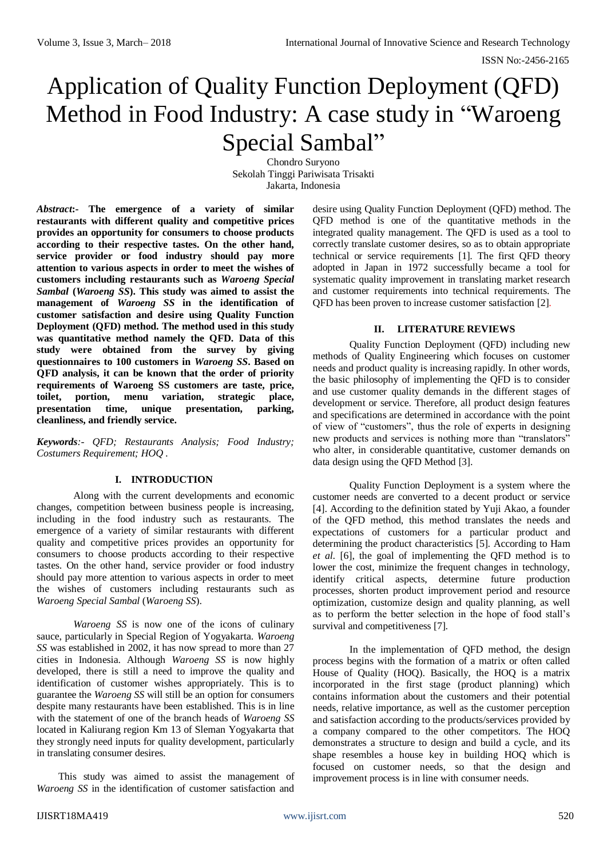# Application of Quality Function Deployment (QFD) Method in Food Industry: A case study in "Waroeng Special Sambal"

Chondro Suryono Sekolah Tinggi Pariwisata Trisakti Jakarta, Indonesia

*Abstract***:- The emergence of a variety of similar restaurants with different quality and competitive prices provides an opportunity for consumers to choose products according to their respective tastes. On the other hand, service provider or food industry should pay more attention to various aspects in order to meet the wishes of customers including restaurants such as** *Waroeng Special Sambal* **(***Waroeng SS***). This study was aimed to assist the management of** *Waroeng SS* **in the identification of customer satisfaction and desire using Quality Function Deployment (QFD) method. The method used in this study was quantitative method namely the QFD. Data of this study were obtained from the survey by giving questionnaires to 100 customers in** *Waroeng SS***. Based on QFD analysis, it can be known that the order of priority requirements of Waroeng SS customers are taste, price, toilet, portion, menu variation, strategic place, presentation time, unique presentation, parking, cleanliness, and friendly service.**

*Keywords:- QFD; Restaurants Analysis; Food Industry; Costumers Requirement; HOQ .*

## **I. INTRODUCTION**

Along with the current developments and economic changes, competition between business people is increasing, including in the food industry such as restaurants. The emergence of a variety of similar restaurants with different quality and competitive prices provides an opportunity for consumers to choose products according to their respective tastes. On the other hand, service provider or food industry should pay more attention to various aspects in order to meet the wishes of customers including restaurants such as *Waroeng Special Sambal* (*Waroeng SS*).

*Waroeng SS* is now one of the icons of culinary sauce, particularly in Special Region of Yogyakarta. *Waroeng SS* was established in 2002, it has now spread to more than 27 cities in Indonesia. Although *Waroeng SS* is now highly developed, there is still a need to improve the quality and identification of customer wishes appropriately. This is to guarantee the *Waroeng SS* will still be an option for consumers despite many restaurants have been established. This is in line with the statement of one of the branch heads of *Waroeng SS* located in Kaliurang region Km 13 of Sleman Yogyakarta that they strongly need inputs for quality development, particularly in translating consumer desires.

This study was aimed to assist the management of *Waroeng SS* in the identification of customer satisfaction and

desire using Quality Function Deployment (QFD) method. The QFD method is one of the quantitative methods in the integrated quality management. The QFD is used as a tool to correctly translate customer desires, so as to obtain appropriate technical or service requirements [1]. The first QFD theory adopted in Japan in 1972 successfully became a tool for systematic quality improvement in translating market research and customer requirements into technical requirements. The QFD has been proven to increase customer satisfaction [2].

# **II. LITERATURE REVIEWS**

Quality Function Deployment (QFD) including new methods of Quality Engineering which focuses on customer needs and product quality is increasing rapidly. In other words, the basic philosophy of implementing the QFD is to consider and use customer quality demands in the different stages of development or service. Therefore, all product design features and specifications are determined in accordance with the point of view of "customers", thus the role of experts in designing new products and services is nothing more than "translators" who alter, in considerable quantitative, customer demands on data design using the QFD Method [3].

Quality Function Deployment is a system where the customer needs are converted to a decent product or service [4]. According to the definition stated by Yuji Akao, a founder of the QFD method, this method translates the needs and expectations of customers for a particular product and determining the product characteristics [5]. According to Ham *et al*. [6], the goal of implementing the QFD method is to lower the cost, minimize the frequent changes in technology, identify critical aspects, determine future production processes, shorten product improvement period and resource optimization, customize design and quality planning, as well as to perform the better selection in the hope of food stall's survival and competitiveness [7].

In the implementation of QFD method, the design process begins with the formation of a matrix or often called House of Quality (HOQ). Basically, the HOQ is a matrix incorporated in the first stage (product planning) which contains information about the customers and their potential needs, relative importance, as well as the customer perception and satisfaction according to the products/services provided by a company compared to the other competitors. The HOQ demonstrates a structure to design and build a cycle, and its shape resembles a house key in building HOQ which is focused on customer needs, so that the design and improvement process is in line with consumer needs.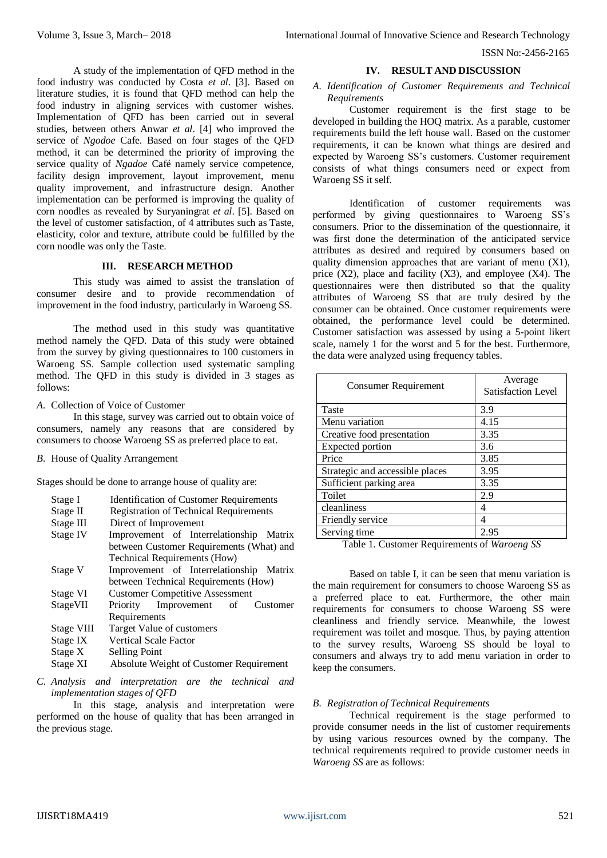A study of the implementation of QFD method in the food industry was conducted by Costa *et al*. [3]. Based on literature studies, it is found that QFD method can help the food industry in aligning services with customer wishes. Implementation of QFD has been carried out in several studies, between others Anwar *et al*. [4] who improved the service of *Ngodoe* Cafe. Based on four stages of the QFD method, it can be determined the priority of improving the service quality of *Ngadoe* Café namely service competence, facility design improvement, layout improvement, menu quality improvement, and infrastructure design. Another implementation can be performed is improving the quality of corn noodles as revealed by Suryaningrat *et al*. [5]. Based on the level of customer satisfaction, of 4 attributes such as Taste, elasticity, color and texture, attribute could be fulfilled by the corn noodle was only the Taste.

### **III. RESEARCH METHOD**

This study was aimed to assist the translation of consumer desire and to provide recommendation of improvement in the food industry, particularly in Waroeng SS.

The method used in this study was quantitative method namely the QFD. Data of this study were obtained from the survey by giving questionnaires to 100 customers in Waroeng SS. Sample collection used systematic sampling method. The QFD in this study is divided in 3 stages as follows:

*A.* Collection of Voice of Customer

In this stage, survey was carried out to obtain voice of consumers, namely any reasons that are considered by consumers to choose Waroeng SS as preferred place to eat.

*B.* House of Quality Arrangement

Stages should be done to arrange house of quality are:

| Stage I<br>Stage II<br>Stage III | <b>Identification of Customer Requirements</b><br><b>Registration of Technical Requirements</b><br>Direct of Improvement |
|----------------------------------|--------------------------------------------------------------------------------------------------------------------------|
| Stage IV                         | Improvement of Interrelationship Matrix                                                                                  |
|                                  | between Customer Requirements (What) and                                                                                 |
|                                  | Technical Requirements (How)                                                                                             |
| Stage V                          | Improvement of Interrelationship Matrix                                                                                  |
|                                  | between Technical Requirements (How)                                                                                     |
| Stage VI                         | <b>Customer Competitive Assessment</b>                                                                                   |
| StageVII                         | Priority Improvement of<br>Customer                                                                                      |
|                                  | Requirements                                                                                                             |
| Stage VIII                       | Target Value of customers                                                                                                |
| Stage IX                         | <b>Vertical Scale Factor</b>                                                                                             |
| Stage X                          | Selling Point                                                                                                            |
| Stage XI                         | Absolute Weight of Customer Requirement                                                                                  |

*C. Analysis and interpretation are the technical and implementation stages of QFD*

In this stage, analysis and interpretation were performed on the house of quality that has been arranged in the previous stage.

#### **IV. RESULT AND DISCUSSION**

#### *A. Identification of Customer Requirements and Technical Requirements*

Customer requirement is the first stage to be developed in building the HOQ matrix. As a parable, customer requirements build the left house wall. Based on the customer requirements, it can be known what things are desired and expected by Waroeng SS's customers. Customer requirement consists of what things consumers need or expect from Waroeng SS it self.

Identification of customer requirements was performed by giving questionnaires to Waroeng SS's consumers. Prior to the dissemination of the questionnaire, it was first done the determination of the anticipated service attributes as desired and required by consumers based on quality dimension approaches that are variant of menu (X1), price  $(X2)$ , place and facility  $(X3)$ , and employee  $(X4)$ . The questionnaires were then distributed so that the quality attributes of Waroeng SS that are truly desired by the consumer can be obtained. Once customer requirements were obtained, the performance level could be determined. Customer satisfaction was assessed by using a 5-point likert scale, namely 1 for the worst and 5 for the best. Furthermore, the data were analyzed using frequency tables.

| <b>Consumer Requirement</b>     | Average<br><b>Satisfaction Level</b> |  |  |
|---------------------------------|--------------------------------------|--|--|
| Taste                           | 3.9                                  |  |  |
| Menu variation                  | 4.15                                 |  |  |
| Creative food presentation      | 3.35                                 |  |  |
| Expected portion                | 3.6                                  |  |  |
| Price                           | 3.85                                 |  |  |
| Strategic and accessible places | 3.95                                 |  |  |
| Sufficient parking area         | 3.35                                 |  |  |
| Toilet                          | 2.9                                  |  |  |
| cleanliness                     | 4                                    |  |  |
| Friendly service                | 4                                    |  |  |
| Serving time                    | 2.95                                 |  |  |

Table 1. Customer Requirements of *Waroeng SS*

Based on table I, it can be seen that menu variation is the main requirement for consumers to choose Waroeng SS as a preferred place to eat. Furthermore, the other main requirements for consumers to choose Waroeng SS were cleanliness and friendly service. Meanwhile, the lowest requirement was toilet and mosque. Thus, by paying attention to the survey results, Waroeng SS should be loyal to consumers and always try to add menu variation in order to keep the consumers.

#### *B. Registration of Technical Requirements*

Technical requirement is the stage performed to provide consumer needs in the list of customer requirements by using various resources owned by the company. The technical requirements required to provide customer needs in *Waroeng SS* are as follows: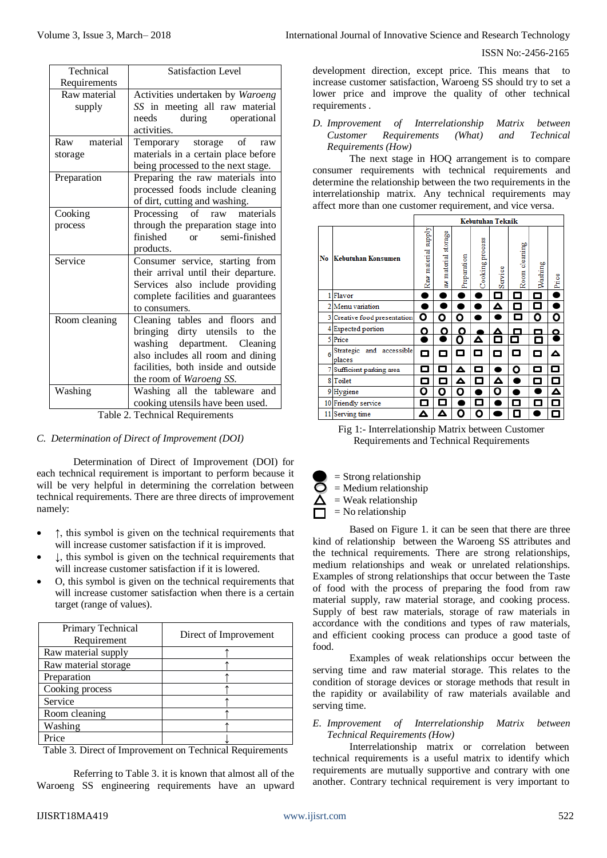| Technical       | <b>Satisfaction Level</b>             |  |  |
|-----------------|---------------------------------------|--|--|
| Requirements    |                                       |  |  |
| Raw material    | Activities undertaken by Waroeng      |  |  |
| supply          | SS in meeting all raw material        |  |  |
|                 | during<br>operational<br>needs        |  |  |
|                 | activities.                           |  |  |
| material<br>Raw | Temporary storage of raw              |  |  |
| storage         | materials in a certain place before   |  |  |
|                 | being processed to the next stage.    |  |  |
| Preparation     | Preparing the raw materials into      |  |  |
|                 | processed foods include cleaning      |  |  |
|                 | of dirt, cutting and washing.         |  |  |
| Cooking         | Processing of raw materials           |  |  |
| process         | through the preparation stage into    |  |  |
|                 | finished<br>semi-finished<br>$\alpha$ |  |  |
|                 | products.                             |  |  |
| Service         | Consumer service, starting from       |  |  |
|                 | their arrival until their departure.  |  |  |
|                 | Services also include providing       |  |  |
|                 | complete facilities and guarantees    |  |  |
|                 | to consumers.                         |  |  |
| Room cleaning   | Cleaning tables and floors<br>and     |  |  |
|                 | bringing dirty utensils to<br>the     |  |  |
|                 | washing department. Cleaning          |  |  |
|                 | also includes all room and dining     |  |  |
|                 | facilities, both inside and outside   |  |  |
|                 | the room of Waroeng SS.               |  |  |
| Washing         | Washing all the tableware and         |  |  |
|                 | cooking utensils have been used.      |  |  |

Table 2. Technical Requirements

## *C. Determination of Direct of Improvement (DOI)*

Determination of Direct of Improvement (DOI) for each technical requirement is important to perform because it will be very helpful in determining the correlation between technical requirements. There are three directs of improvement namely:

- ↑, this symbol is given on the technical requirements that will increase customer satisfaction if it is improved.
- ↓, this symbol is given on the technical requirements that will increase customer satisfaction if it is lowered.
- O, this symbol is given on the technical requirements that will increase customer satisfaction when there is a certain target (range of values).

| Primary Technical<br>Requirement | Direct of Improvement |  |  |
|----------------------------------|-----------------------|--|--|
| Raw material supply              |                       |  |  |
| Raw material storage             |                       |  |  |
| Preparation                      |                       |  |  |
| Cooking process                  |                       |  |  |
| Service                          |                       |  |  |
| Room cleaning                    |                       |  |  |
| Washing                          |                       |  |  |
| Price                            |                       |  |  |
| .<br>$\sim$ $\sim$ $\sim$        | $\sqrt{ }$<br>--      |  |  |

Table 3. Direct of Improvement on Technical Requirements

Referring to Table 3. it is known that almost all of the Waroeng SS engineering requirements have an upward

development direction, except price. This means that to increase customer satisfaction, Waroeng SS should try to set a lower price and improve the quality of other technical requirements .

*D. Improvement of Interrelationship Matrix between Customer Requirements (What) and Technical Requirements (How)*

The next stage in HOQ arrangement is to compare consumer requirements with technical requirements and determine the relationship between the two requirements in the interrelationship matrix. Any technical requirements may affect more than one customer requirement, and vice versa.

|    |                                    | <b>Kebutuhan Teknik</b>       |                     |             |                 |         |               |         |           |
|----|------------------------------------|-------------------------------|---------------------|-------------|-----------------|---------|---------------|---------|-----------|
| No | Kebutuhan Konsumen                 | <b>Alddns</b><br>Raw material | aw material storage | Preparation | Cooking process | Service | Room cleaning | Washing | Price     |
|    | Flavor                             |                               |                     |             |                 | □       | П             | ▭       | ٦         |
|    | 2 Menu variation                   |                               |                     |             |                 | Δ       | П             | о       |           |
| 31 | Creative food presentation         | ٥                             | Ο                   | Ο           |                 |         | □             | ٥       | Ο         |
|    | <b>Expected portion</b>            | ٥                             | Ο                   | ი           |                 | Δ       |               |         | $\bullet$ |
| 51 | Price                              |                               |                     | Ο           | Δ               | О       | ┑             | п       |           |
| 6  | Strategic and accessible<br>places | о                             | о                   | о           | о               | ◻       | о             | о       | Δ         |
|    | Sufficient parking area            | П                             | П                   | Δ           | □               |         | Ο             | о       | П         |
| 8  | Toilet                             | О                             | ▭                   | Δ           | П               | Δ       |               | □       | □         |
|    | 9 Hygiene                          | Ο                             | ი                   | n           |                 | Ο       |               |         | Δ         |
|    | 10 Friendly service                | □                             | П                   |             | П               |         | L.            | П       | □         |
| 11 | Serving time                       | Δ                             | Δ                   | n           | О               |         | П             |         |           |

Fig 1:- Interrelationship Matrix between Customer Requirements and Technical Requirements

- $=$  Strong relationship
- = Medium relationship
- $=$  Weak relationship
- $=$  No relationship

Based on Figure 1. it can be seen that there are three kind of relationship between the Waroeng SS attributes and the technical requirements. There are strong relationships, medium relationships and weak or unrelated relationships. Examples of strong relationships that occur between the Taste of food with the process of preparing the food from raw material supply, raw material storage, and cooking process. Supply of best raw materials, storage of raw materials in accordance with the conditions and types of raw materials, and efficient cooking process can produce a good taste of food.

Examples of weak relationships occur between the serving time and raw material storage. This relates to the condition of storage devices or storage methods that result in the rapidity or availability of raw materials available and serving time.

# *E. Improvement of Interrelationship Matrix between Technical Requirements (How)*

Interrelationship matrix or correlation between technical requirements is a useful matrix to identify which requirements are mutually supportive and contrary with one another. Contrary technical requirement is very important to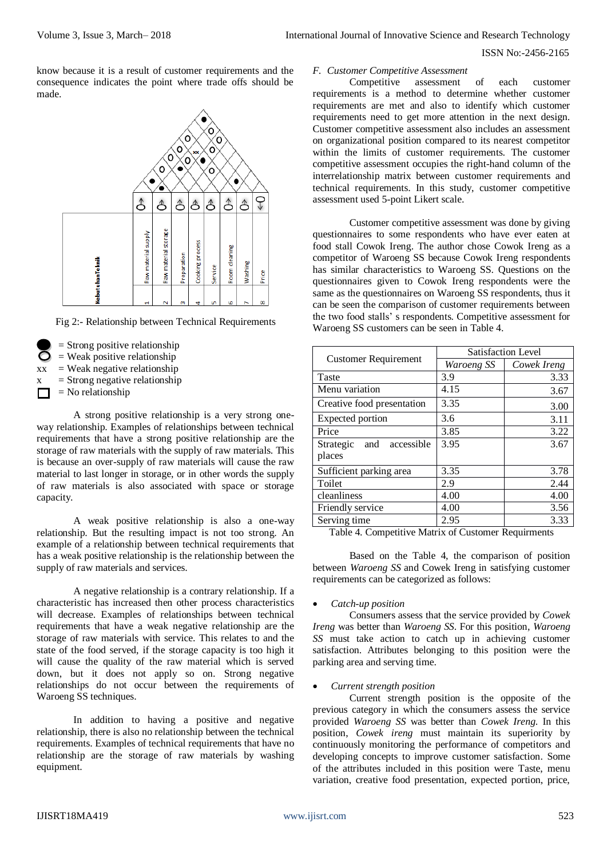## ISSN No:-2456-2165

know because it is a result of customer requirements and the consequence indicates the point where trade offs should be made.



Fig 2:- Relationship between Technical Requirements

- $=$  Strong positive relationship
- $=$  Weak positive relationship
- $xx = Weak negative relationship$ 
	- $=$  Strong negative relationship
	- $=$  No relationship

A strong positive relationship is a very strong oneway relationship. Examples of relationships between technical requirements that have a strong positive relationship are the storage of raw materials with the supply of raw materials. This is because an over-supply of raw materials will cause the raw material to last longer in storage, or in other words the supply of raw materials is also associated with space or storage capacity.

A weak positive relationship is also a one-way relationship. But the resulting impact is not too strong. An example of a relationship between technical requirements that has a weak positive relationship is the relationship between the supply of raw materials and services.

A negative relationship is a contrary relationship. If a characteristic has increased then other process characteristics will decrease. Examples of relationships between technical requirements that have a weak negative relationship are the storage of raw materials with service. This relates to and the state of the food served, if the storage capacity is too high it will cause the quality of the raw material which is served down, but it does not apply so on. Strong negative relationships do not occur between the requirements of Waroeng SS techniques.

In addition to having a positive and negative relationship, there is also no relationship between the technical requirements. Examples of technical requirements that have no relationship are the storage of raw materials by washing equipment.

#### *F. Customer Competitive Assessment*

Competitive assessment of each customer requirements is a method to determine whether customer requirements are met and also to identify which customer requirements need to get more attention in the next design. Customer competitive assessment also includes an assessment on organizational position compared to its nearest competitor within the limits of customer requirements. The customer competitive assessment occupies the right-hand column of the interrelationship matrix between customer requirements and technical requirements. In this study, customer competitive assessment used 5-point Likert scale.

Customer competitive assessment was done by giving questionnaires to some respondents who have ever eaten at food stall Cowok Ireng. The author chose Cowok Ireng as a competitor of Waroeng SS because Cowok Ireng respondents has similar characteristics to Waroeng SS. Questions on the questionnaires given to Cowok Ireng respondents were the same as the questionnaires on Waroeng SS respondents, thus it can be seen the comparison of customer requirements between the two food stalls' s respondents. Competitive assessment for Waroeng SS customers can be seen in Table 4.

|                                          | <b>Satisfaction Level</b> |             |  |  |
|------------------------------------------|---------------------------|-------------|--|--|
| <b>Customer Requirement</b>              | <i>Waroeng SS</i>         | Cowek Ireng |  |  |
| Taste                                    | 3.9                       | 3.33        |  |  |
| Menu variation                           | 4.15                      | 3.67        |  |  |
| Creative food presentation               | 3.35                      | 3.00        |  |  |
| Expected portion                         | 3.6                       | 3.11        |  |  |
| Price                                    | 3.85                      | 3.22        |  |  |
| Strategic<br>accessible<br>and<br>places | 3.95                      | 3.67        |  |  |
| Sufficient parking area                  | 3.35                      | 3.78        |  |  |
| Toilet                                   | 2.9                       | 2.44        |  |  |
| cleanliness                              | 4.00                      | 4.00        |  |  |
| Friendly service                         | 4.00                      | 3.56        |  |  |
| Serving time                             | 2.95                      | 3.33        |  |  |

Table 4. Competitive Matrix of Customer Requirments

Based on the Table 4, the comparison of position between *Waroeng SS* and Cowek Ireng in satisfying customer requirements can be categorized as follows:

## *Catch-up position*

Consumers assess that the service provided by *Cowek Ireng* was better than *Waroeng SS*. For this position, *Waroeng SS* must take action to catch up in achieving customer satisfaction. Attributes belonging to this position were the parking area and serving time.

## *Current strength position*

Current strength position is the opposite of the previous category in which the consumers assess the service provided *Waroeng SS* was better than *Cowek Ireng*. In this position, *Cowek ireng* must maintain its superiority by continuously monitoring the performance of competitors and developing concepts to improve customer satisfaction. Some of the attributes included in this position were Taste, menu variation, creative food presentation, expected portion, price,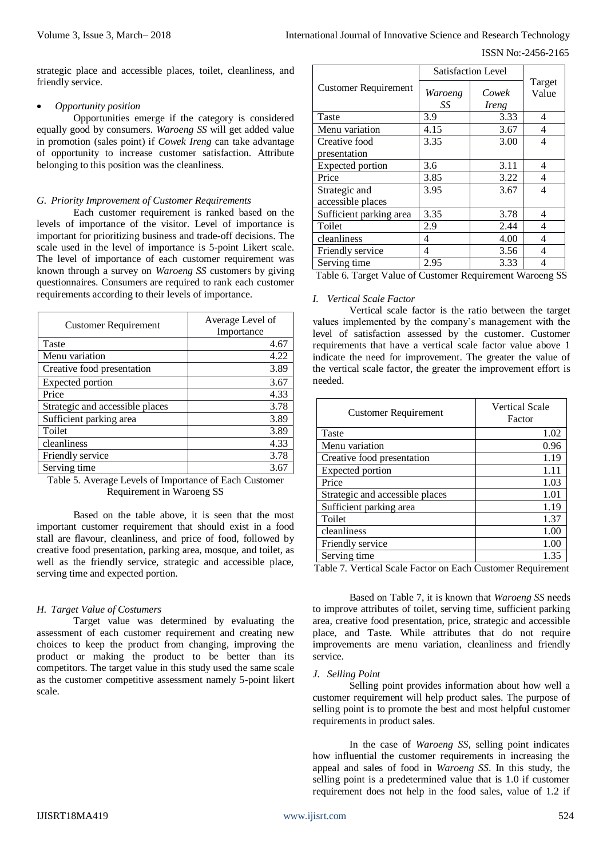strategic place and accessible places, toilet, cleanliness, and friendly service.

## *Opportunity position*

Opportunities emerge if the category is considered equally good by consumers. *Waroeng SS* will get added value in promotion (sales point) if *Cowek Ireng* can take advantage of opportunity to increase customer satisfaction. Attribute belonging to this position was the cleanliness.

# *G. Priority Improvement of Customer Requirements*

Each customer requirement is ranked based on the levels of importance of the visitor. Level of importance is important for prioritizing business and trade-off decisions. The scale used in the level of importance is 5-point Likert scale. The level of importance of each customer requirement was known through a survey on *Waroeng SS* customers by giving questionnaires. Consumers are required to rank each customer requirements according to their levels of importance.

| <b>Customer Requirement</b>     | Average Level of<br>Importance |
|---------------------------------|--------------------------------|
| Taste                           | 4.67                           |
| Menu variation                  | 4.22                           |
| Creative food presentation      | 3.89                           |
| <b>Expected portion</b>         | 3.67                           |
| Price                           | 4.33                           |
| Strategic and accessible places | 3.78                           |
| Sufficient parking area         | 3.89                           |
| Toilet                          | 3.89                           |
| cleanliness                     | 4.33                           |
| Friendly service                | 3.78                           |
| Serving time                    | 3.67                           |

Table 5. Average Levels of Importance of Each Customer Requirement in Waroeng SS

Based on the table above, it is seen that the most important customer requirement that should exist in a food stall are flavour, cleanliness, and price of food, followed by creative food presentation, parking area, mosque, and toilet, as well as the friendly service, strategic and accessible place, serving time and expected portion.

# *H. Target Value of Costumers*

Target value was determined by evaluating the assessment of each customer requirement and creating new choices to keep the product from changing, improving the product or making the product to be better than its competitors. The target value in this study used the same scale as the customer competitive assessment namely 5-point likert scale.

|                             | <b>Satisfaction Level</b> |                |                 |
|-----------------------------|---------------------------|----------------|-----------------|
| <b>Customer Requirement</b> | Waroeng<br>SS             | Cowek<br>Ireng | Target<br>Value |
| Taste                       | 3.9                       | 3.33           | 4               |
| Menu variation              | 4.15                      | 3.67           | 4               |
| Creative food               | 3.35                      | 3.00           | 4               |
| presentation                |                           |                |                 |
| Expected portion            | 3.6                       | 3.11           | 4               |
| Price                       | 3.85                      | 3.22           | 4               |
| Strategic and               | 3.95                      | 3.67           | 4               |
| accessible places           |                           |                |                 |
| Sufficient parking area     | 3.35                      | 3.78           | 4               |
| Toilet                      | 2.9                       | 2.44           | 4               |
| cleanliness                 | 4                         | 4.00           | 4               |
| Friendly service            | 4                         | 3.56           | 4               |
| Serving time                | 2.95                      | 3.33           | 4               |

Table 6. Target Value of Customer Requirement Waroeng SS

## *I. Vertical Scale Factor*

Vertical scale factor is the ratio between the target values implemented by the company's management with the level of satisfaction assessed by the customer. Customer requirements that have a vertical scale factor value above 1 indicate the need for improvement. The greater the value of the vertical scale factor, the greater the improvement effort is needed.

| <b>Customer Requirement</b>                                | <b>Vertical Scale</b><br>Factor |
|------------------------------------------------------------|---------------------------------|
| Taste                                                      | 1.02                            |
| Menu variation                                             | 0.96                            |
| Creative food presentation                                 | 1.19                            |
| <b>Expected portion</b>                                    | 1.11                            |
| Price                                                      | 1.03                            |
| Strategic and accessible places                            | 1.01                            |
| Sufficient parking area                                    | 1.19                            |
| Toilet                                                     | 1.37                            |
| cleanliness                                                | 1.00                            |
| Friendly service                                           | 1.00                            |
| Serving time                                               | 1.35                            |
| Table 7 Vertical Scale Factor on Each Customer Requirement |                                 |

able 7. Vertical Scale Factor on Each Customer Requirement

Based on Table 7, it is known that *Waroeng SS* needs to improve attributes of toilet, serving time, sufficient parking area, creative food presentation, price, strategic and accessible place, and Taste. While attributes that do not require improvements are menu variation, cleanliness and friendly service.

## *J. Selling Point*

Selling point provides information about how well a customer requirement will help product sales. The purpose of selling point is to promote the best and most helpful customer requirements in product sales.

In the case of *Waroeng SS*, selling point indicates how influential the customer requirements in increasing the appeal and sales of food in *Waroeng SS*. In this study, the selling point is a predetermined value that is 1.0 if customer requirement does not help in the food sales, value of 1.2 if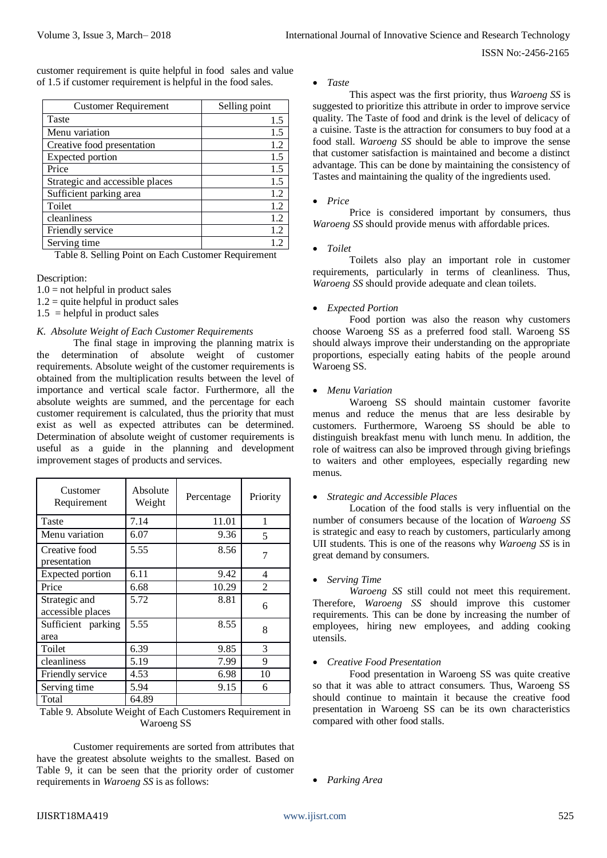ISSN No:-2456-2165

customer requirement is quite helpful in food sales and value of 1.5 if customer requirement is helpful in the food sales.

| <b>Customer Requirement</b>     | Selling point |  |  |
|---------------------------------|---------------|--|--|
| Taste                           | 1.5           |  |  |
| Menu variation                  | 1.5           |  |  |
| Creative food presentation      | 1.2           |  |  |
| Expected portion                | 1.5           |  |  |
| Price                           | 1.5           |  |  |
| Strategic and accessible places | 1.5           |  |  |
| Sufficient parking area         | 1.2           |  |  |
| Toilet                          | 1.2           |  |  |
| cleanliness                     | 1.2           |  |  |
| Friendly service                | 1.2           |  |  |
| Serving time                    |               |  |  |

Table 8. Selling Point on Each Customer Requirement

Description:

- $1.0$  = not helpful in product sales
- $1.2$  = quite helpful in product sales
- $1.5$  = helpful in product sales

#### *K. Absolute Weight of Each Customer Requirements*

The final stage in improving the planning matrix is the determination of absolute weight of customer requirements. Absolute weight of the customer requirements is obtained from the multiplication results between the level of importance and vertical scale factor. Furthermore, all the absolute weights are summed, and the percentage for each customer requirement is calculated, thus the priority that must exist as well as expected attributes can be determined. Determination of absolute weight of customer requirements is useful as a guide in the planning and development improvement stages of products and services.

| Customer<br>Requirement            | Absolute<br>Weight | Percentage | Priority |
|------------------------------------|--------------------|------------|----------|
| Taste                              | 7.14               | 11.01      | 1        |
| Menu variation                     | 6.07               | 9.36       | 5        |
| Creative food<br>presentation      | 5.55               | 8.56       |          |
| <b>Expected portion</b>            | 6.11               | 9.42       | 4        |
| Price                              | 6.68               | 10.29      | 2        |
| Strategic and<br>accessible places | 5.72               | 8.81       | 6        |
| Sufficient parking<br>area         | 5.55               | 8.55       | 8        |
| Toilet                             | 6.39               | 9.85       | 3        |
| cleanliness                        | 5.19               | 7.99       | 9        |
| Friendly service                   | 4.53               | 6.98       | 10       |
| Serving time                       | 5.94               | 9.15       | 6        |
| Total                              | 64.89              |            |          |

Table 9. Absolute Weight of Each Customers Requirement in Waroeng SS

Customer requirements are sorted from attributes that have the greatest absolute weights to the smallest. Based on Table 9, it can be seen that the priority order of customer requirements in *Waroeng SS* is as follows:

#### *Taste*

This aspect was the first priority, thus *Waroeng SS* is suggested to prioritize this attribute in order to improve service quality. The Taste of food and drink is the level of delicacy of a cuisine. Taste is the attraction for consumers to buy food at a food stall. *Waroeng SS* should be able to improve the sense that customer satisfaction is maintained and become a distinct advantage. This can be done by maintaining the consistency of Tastes and maintaining the quality of the ingredients used.

#### *Price*

Price is considered important by consumers, thus *Waroeng SS* should provide menus with affordable prices.

*Toilet*

Toilets also play an important role in customer requirements, particularly in terms of cleanliness. Thus, *Waroeng SS* should provide adequate and clean toilets.

#### *Expected Portion*

Food portion was also the reason why customers choose Waroeng SS as a preferred food stall. Waroeng SS should always improve their understanding on the appropriate proportions, especially eating habits of the people around Waroeng SS.

#### *Menu Variation*

Waroeng SS should maintain customer favorite menus and reduce the menus that are less desirable by customers. Furthermore, Waroeng SS should be able to distinguish breakfast menu with lunch menu. In addition, the role of waitress can also be improved through giving briefings to waiters and other employees, especially regarding new menus.

#### *Strategic and Accessible Places*

Location of the food stalls is very influential on the number of consumers because of the location of *Waroeng SS* is strategic and easy to reach by customers, particularly among UII students. This is one of the reasons why *Waroeng SS* is in great demand by consumers.

#### *Serving Time*

*Waroeng SS* still could not meet this requirement. Therefore, *Waroeng SS* should improve this customer requirements. This can be done by increasing the number of employees, hiring new employees, and adding cooking utensils.

### *Creative Food Presentation*

Food presentation in Waroeng SS was quite creative so that it was able to attract consumers. Thus, Waroeng SS should continue to maintain it because the creative food presentation in Waroeng SS can be its own characteristics compared with other food stalls.

*Parking Area*